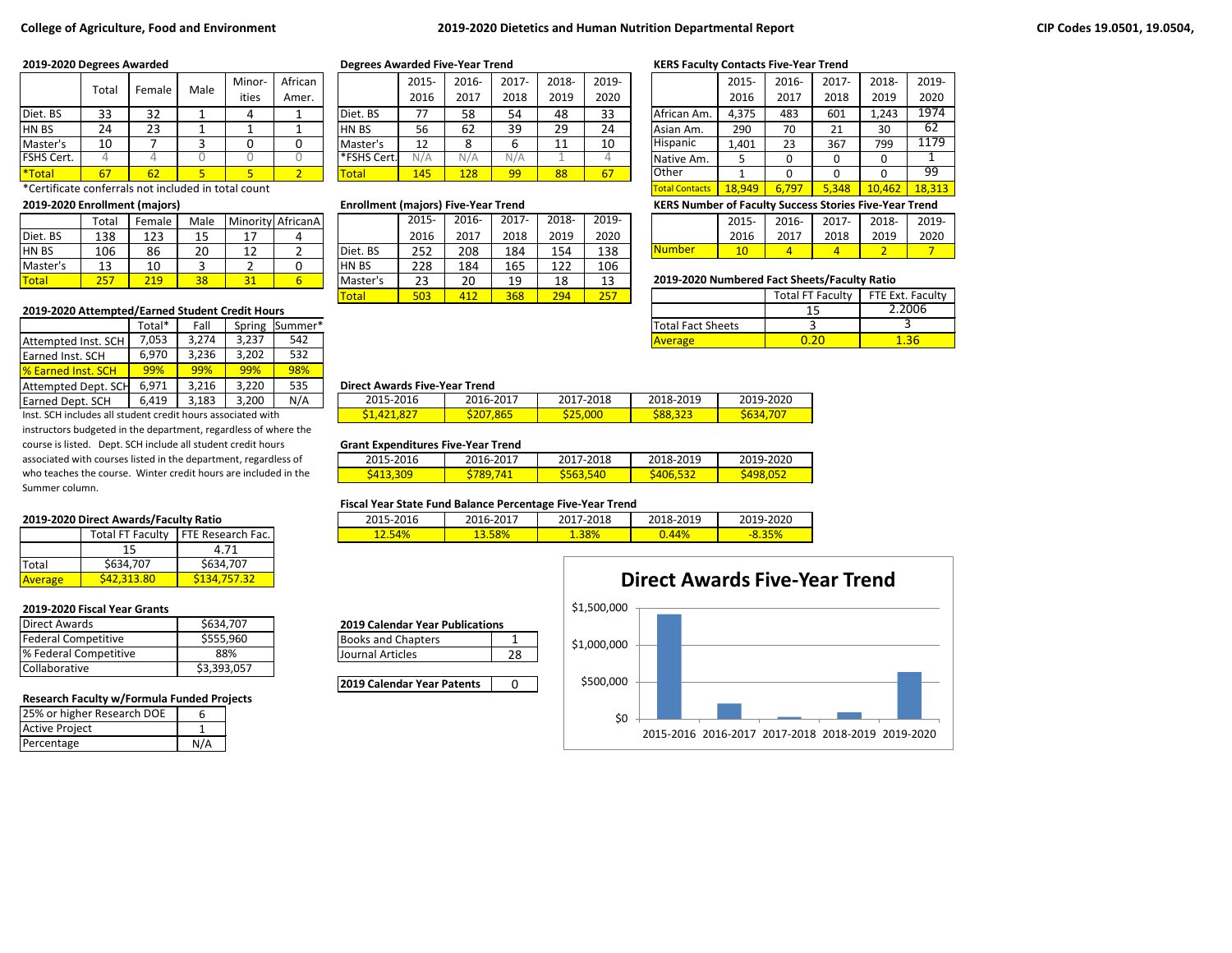### **College of Agriculture, Food and Environment 2019-2020 Dietetics and Human Nutrition Departmental Report CIP Codes 19.0501, 19.0504,**

|             | Total               | Female             | Male | Minor- | African |             | 2015- | 2016-       | 2017- | 2018-    | 2019- |             | 2015- | 2016- | $2017 -$ | 2018- | 2019- |
|-------------|---------------------|--------------------|------|--------|---------|-------------|-------|-------------|-------|----------|-------|-------------|-------|-------|----------|-------|-------|
|             |                     |                    |      | ities  | Amer.   |             | 2016  | 2017        | 2018  | 2019     | 2020  |             | 2016  | 2017  | 2018     | 2019  | 2020  |
| Diet. BS    | $\mathbf{a}$<br>ر ر | つつ<br>ے ر          |      |        |         | Diet. BS    | 77    | 58          | 54    | 48       | 33    | African Am. | 4,375 | 483   | 601      | 1,243 | 1974  |
| <b>HNBS</b> | 24                  | $\mathbf{a}$<br>رے |      |        |         | HN BS       | 56    | 62          | 39    | 29<br>رے | 24    | Asian Am.   | 290   | 70    | 21<br>ᄼᅩ | 30    | 62    |
| Master's    | 10                  |                    |      |        |         | Master's    | 12    |             |       | . .      | 10    | Hispanic    | 1,401 | 23    | 367      | 799   | 1179  |
| FSHS Cert.  |                     |                    |      |        |         | *FSHS Cert. | N/A   | N/A         | N/A   |          |       | Native Am.  |       |       |          |       |       |
| *Total      | 67                  | 62                 |      |        |         | Total       | 145   | <u> 128</u> | 99    | 88       | 67    | Other       |       |       |          |       | 99    |

\*Certificate conferrals not included in total count Total Contacts 18,949 6,797 5,348 10,462 18,313

| <b>Total</b> | つにつ<br><u>__</u> | 219      | 38                   | 71                  |                   | l Master's | າາ<br>ںے | $\Omega$<br>zυ | 19   | 10<br>⊥о   | ∸     | 2019-2020 Numbered Fact Sheets/Faculty Ratio |      |       |       |       |      |
|--------------|------------------|----------|----------------------|---------------------|-------------------|------------|----------|----------------|------|------------|-------|----------------------------------------------|------|-------|-------|-------|------|
| Master's     | $\sim$<br>∸      | 10<br>⊥∪ |                      |                     |                   | HN BS      | 228      | 184            | 165  | າາາ<br>ᅩ᠘᠘ | 106   |                                              |      |       |       |       |      |
| <b>HNBS</b>  | 106              | 86       | 20                   | $\sim$<br><u>+4</u> |                   | Diet. BS   | 252      | 208            | 184  | 154        | 138   | <b>Number</b>                                | 10   |       |       |       |      |
| Diet. BS     | 138              | 123      | $\overline{ }$<br>-- | ∸ '                 |                   |            | 2016     | 2017           | 2018 | 2019       | 2020  |                                              | 2016 | 201   | 2018  | 2019  | 2020 |
|              | $\tau$ otal      | Female   | Male                 |                     | Minority AfricanA |            | 2015     | 2016-          | 2017 | 2018-      | 2019- |                                              | 2015 | 2016- | 2017- | 2018- | 2019 |

### **2019-2020 Attempted/Earned Student Credit Hours**

|                            | Total* | Fall  |       | Spring Summer* |                                      |           |           | <b>Total Fact Sheets</b> |  |
|----------------------------|--------|-------|-------|----------------|--------------------------------------|-----------|-----------|--------------------------|--|
| Attempted Inst. SCH        | 7,053  | 3,274 | 3.237 | 542            |                                      |           |           | <b>Average</b>           |  |
| <b>IEarned Inst. SCH</b>   | 6,970  | 3.236 | 3.202 | 532            |                                      |           |           |                          |  |
| <b>1% Earned Inst. SCH</b> | 99%    | 99%   | 99%   | 98%            |                                      |           |           |                          |  |
| Attempted Dept. SCH        | 6,971  | 3.216 | 3.220 | 535            | <b>Direct Awards Five-Year Trend</b> |           |           |                          |  |
| <b>Earned Dept. SCH</b>    | 6.419  | 3,183 | 3.200 | N/A            | 2015-2016                            | 2016-2017 | 2017-2018 | 2018-2019                |  |

Inst. SCH includes all student credit hours associated with instructors budgeted in the department, regardless of where the course is listed. Dept. SCH include all student credit hours associated with courses listed in the department, regardless of who teaches the course. Winter credit hours are included in the Summer column.

### **2019-2020 Direct Awards/Faculty Ratio**

|                | <b>Total FT Faculty</b> | <b>FTE Research Fac.</b> |  |  |  |  |
|----------------|-------------------------|--------------------------|--|--|--|--|
|                | 15                      | 4.71                     |  |  |  |  |
| <b>Total</b>   | \$634,707               | \$634,707                |  |  |  |  |
| <b>Average</b> | <b>542.313.80</b>       | S134.757.32              |  |  |  |  |

### **2019-2020 Fiscal Year Grants**

| Direct Awards              | \$634,707   |
|----------------------------|-------------|
| <b>Federal Competitive</b> | \$555,960   |
| % Federal Competitive      | 88%         |
| Collaborative              | \$3,393,057 |

### **Research Faculty w/Formula Funded Projects**

| 25% or higher Research DOE |  |
|----------------------------|--|
| <b>Active Project</b>      |  |
| Percentage                 |  |

|             | 2015- | 2016- | $2017 -$ | 2018- | 2019- |
|-------------|-------|-------|----------|-------|-------|
|             | 2016  | 2017  | 2018     | 2019  | 2020  |
| Diet. BS    | 77    | 58    | 54       | 48    | 33    |
| <b>HNBS</b> | 56    | 62    | 39       | 29    | 24    |
| Master's    | 12    | 8     | n        | 11    | 10    |
| *FSHS Cert. | N/A   | N/A   | N/A      |       |       |
| Total       | 145   | 128   | 99       | 88    |       |

| Total | Female | Male |           | Minority AfricanA |               | 2015-    | 2016- | $2017 -$ | 2018- | 2019- |                                              | 2015- | 2016-                   | $2017 -$ | 2018-            | 2019- |
|-------|--------|------|-----------|-------------------|---------------|----------|-------|----------|-------|-------|----------------------------------------------|-------|-------------------------|----------|------------------|-------|
| 138   | 123    | 15   |           |                   |               | 2016     | 2017  | 2018     | 2019  | 2020  |                                              | 2016  | 2017                    | 2018     | 2019             | 2020  |
| 106   | 86     | 20   | 1 ว<br>∸∸ |                   | Diet. BS      | 252      | 208   | 184      | 154   | 138   | <b>Number</b>                                | 10    |                         |          |                  |       |
| 13    | 10     |      |           |                   | <b>IHN BS</b> | 228      | 184   | 165      | 122   | 106   |                                              |       |                         |          |                  |       |
| 257   | 219    | 38   |           |                   | Master's      | າາ<br>رے | 20    | 19       | 18    | 13    | 2019-2020 Numbered Fact Sheets/Faculty Ratio |       |                         |          |                  |       |
|       |        |      |           |                   | <b>Total</b>  | 503      | 412   | 368      | 294   | 257   |                                              |       | <b>Total FT Faculty</b> |          | FTE Ext. Faculty |       |

### **2019-2020 Degrees Awarded Degrees Awarded Five-Year Trend KERS Faculty Contacts Five-Year Trend**

|                       | 2015-  | 2016- | $2017 -$ | 2018-  | 2019-  |
|-----------------------|--------|-------|----------|--------|--------|
|                       | 2016   | 2017  | 2018     | 2019   | 2020   |
| African Am.           | 4,375  | 483   | 601      | 1,243  | 1974   |
| Asian Am.             | 290    | 70    | 21       | 30     | 62     |
| Hispanic              | 1,401  | 23    | 367      | 799    | 1179   |
| Native Am.            | 5      | 0     | 0        | ŋ      |        |
| Other                 | 1      | 0     | 0        | ŋ      | 99     |
| <b>Total Contacts</b> | 18.949 | 6,797 | 5,348    | 10.462 | 18,313 |

**2019-2020 Enrollment (majors) Enrollment (majors) Five-Year Trend KERS Number of Faculty Success Stories Five-Year Trend**

|                | 2015-     | 2016- | 2017- | 2018- | 2019- |
|----------------|-----------|-------|-------|-------|-------|
|                | 2016      | 2017  | 2018  | 2019  | 2020  |
| <b>INumber</b> | $10^{-1}$ |       |       |       |       |

### 2019-2020 Numbered Fact Sheets/Faculty Ratio

|                          | <b>Total FT Faculty</b> | FTE Ext. Faculty |
|--------------------------|-------------------------|------------------|
|                          |                         | 2.2006           |
| <b>Total Fact Sheets</b> |                         |                  |
| <b>Average</b>           |                         |                  |

### **Direct Awards Five-Year Trend**

| _  _ _ _ _ |           |           |           |           |
|------------|-----------|-----------|-----------|-----------|
| 2015-2016  | 2016-2017 | 2017-2018 | 2018-2019 | 2019-2020 |
| S1,421,827 | \$207.865 | \$25,000  | 588,323   | S634      |

### **Grant Expenditures Five-Year Trend**

| 2015-2016         | 2016-2017      | 2017-2018     | 2018-2019       | 2019-2020 |  |  |  |  |  |  |  |
|-------------------|----------------|---------------|-----------------|-----------|--|--|--|--|--|--|--|
| — <u>S413,ა</u> ს | 789.<br>$74_1$ | 540<br>S563,! | <u>s406,532</u> | S498.052  |  |  |  |  |  |  |  |

### **Fiscal Year State Fund Balance Percentage Five-Year Trend**

| 2015-2<br>2016 | 2016-2017 | 7-2018<br>201 | 2018-2019  | 2019-2020 |
|----------------|-----------|---------------|------------|-----------|
| 54%<br>22.J    | 13.58%    | 1.38%         | $44^\circ$ |           |

| <b>2019 Calendar Year Publications</b> |  |
|----------------------------------------|--|
| <b>Books and Chapters</b>              |  |

Journal Articles 28

**2019 Calendar Year Patents** 0